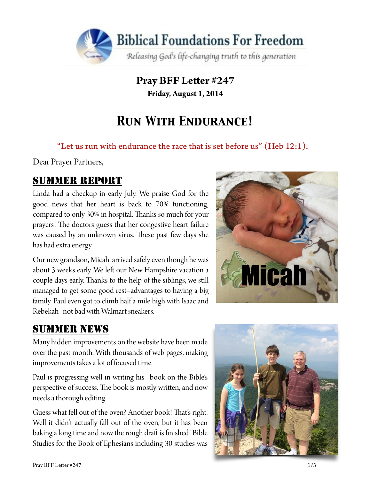

**Pray BFF Leter #247 Friday, August 1, 2014**

# *Run With Endurance!*

"Let us run with endurance the race that is set before us" (Heb  $12:1$ ).

Dear Prayer Partners,

## SUMMER REPORT

Linda had a checkup in early July. We praise God for the good news that her heart is back to 70% functioning, compared to only 30% in hospital. Thanks so much for your prayers! The doctors guess that her congestive heart failure was caused by an unknown virus. These past few days she has had extra energy.

Our new grandson, Micah arrived safely even though he was about 3 weeks early. We left our New Hampshire vacation a couple days early. Thanks to the help of the siblings, we still managed to get some good rest–advantages to having a big family. Paul even got to climb half a mile high with Isaac and Rebekah–not bad with Walmart sneakers.



# SUMMER NEWS

Many hidden improvements on the website have been made over the past month. With thousands of web pages, making improvements takes a lot of focused time.

Paul is progressing well in writing his book on the Bible's perspective of success. The book is mostly written, and now needs a thorough editing.

Guess what fell out of the oven? Another book! That's right. Well it didn't actually fall out of the oven, but it has been baking a long time and now the rough draft is finished! Bible Studies for the Book of Ephesians including 30 studies was

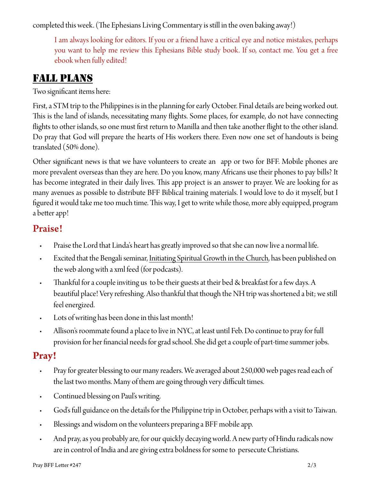completed this week. (The Ephesians Living Commentary is still in the oven baking away!)

I am always looking for editors. If you or a friend have a critical eye and notice mistakes, perhaps you want to help me review this Ephesians Bible study book. If so, contact me. You get a free ebook when fully edited!

#### FALL PLANS

Two signifcant items here:

First, a STM trip to the Philippines is in the planning for early October. Final details are being worked out. This is the land of islands, necessitating many flights. Some places, for example, do not have connecting fights to other islands, so one must frst return to Manilla and then take another fight to the other island. Do pray that God will prepare the hearts of His workers there. Even now one set of handouts is being translated (50% done).

Other signifcant news is that we have volunteers to create an app or two for BFF. Mobile phones are more prevalent overseas than they are here. Do you know, many Africans use their phones to pay bills? It has become integrated in their daily lives. This app project is an answer to prayer. We are looking for as many avenues as possible to distribute BFF Biblical training materials. I would love to do it myself, but I figured it would take me too much time. This way, I get to write while those, more ably equipped, program a better app!

#### Praise!

- Praise the Lord that Linda's heart has greatly improved so that she can now live a normal life.
- Excited that the Bengali seminar, [Initiating Spiritual Growth in the Church](http://www.foundationsforfreedom.net/Topics/Language/India/Bengali/D1/D1Beng00_Index.html), has been published on the web along with a xml feed (for podcasts).
- Thankful for a couple inviting us to be their guests at their bed & breakfast for a few days. A beautiful place! Very refreshing. Also thankful that though the NH trip was shortened a bit; we still feel energized.
- Lots of writing has been done in this last month!
- Allison's roommate found a place to live in NYC, at least until Feb. Do continue to pray for full provision for her fnancial needs for grad school. She did get a couple of part-time summer jobs.

### **Pray!**

- Pray for greater blessing to our many readers. We averaged about 250,000 web pages read each of the last two months. Many of them are going through very difficult times.
- Continued blessing on Paul's writing.
- God's full guidance on the details for the Philippine trip in October, perhaps with a visit to Taiwan.
- Blessings and wisdom on the volunteers preparing a BFF mobile app.
- And pray, as you probably are, for our quickly decaying world. A new party of Hindu radicals now are in control of India and are giving extra boldness for some to persecute Christians.